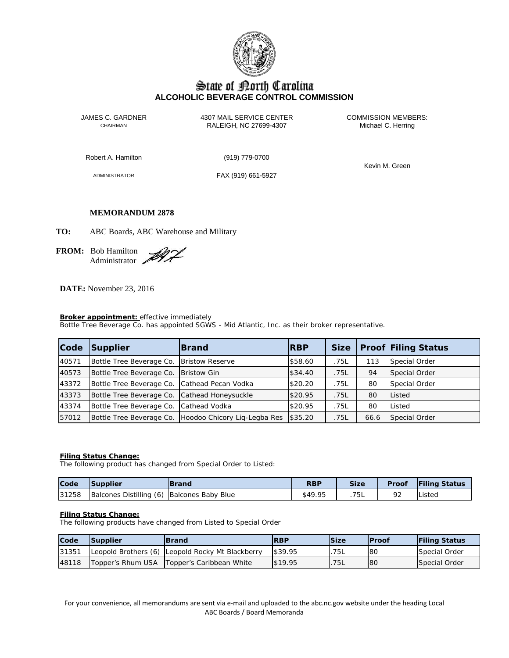

# State of Borth Carolina **ALCOHOLIC BEVERAGE CONTROL COMMISSION**

JAMES C. GARDNER 4307 MAIL SERVICE CENTER<br>CHAIRMAN CHAIRMAN RALEIGH, NC 27699-4307 Michael C. Herring RALEIGH, NC 27699-4307

Robert A. Hamilton (919) 779-0700

ADMINISTRATOR FAX (919) 661-5927

Kevin M. Green

# **MEMORANDUM 2878**

**TO:** ABC Boards, ABC Warehouse and Military

**FROM:** Bob Hamilton Administrator

**DATE:** November 23, 2016

# **Broker appointment:** effective immediately

Bottle Tree Beverage Co. has appointed SGWS - Mid Atlantic, Inc. as their broker representative.

| Code  | Supplier                                     | <b>IBrand</b>                                         | <b>RBP</b> | <b>Size</b> |      | <b>Proof Filing Status</b> |
|-------|----------------------------------------------|-------------------------------------------------------|------------|-------------|------|----------------------------|
| 40571 | Bottle Tree Beverage Co.                     | <b>Bristow Reserve</b>                                | \$58.60    | .75L        | 113  | Special Order              |
| 40573 | Bottle Tree Beverage Co.   Bristow Gin       |                                                       | \$34.40    | .75L        | 94   | Special Order              |
| 43372 | Bottle Tree Beverage Co. Cathead Pecan Vodka |                                                       | \$20.20    | .75L        | 80   | Special Order              |
| 43373 | Bottle Tree Beverage Co. Cathead Honeysuckle |                                                       | \$20.95    | .75L        | 80   | Listed                     |
| 43374 | Bottle Tree Beverage Co. Cathead Vodka       |                                                       | \$20.95    | .75L        | 80   | Listed                     |
| 57012 |                                              | Bottle Tree Beverage Co. Hoodoo Chicory Lig-Legba Res | \$35.20    | .75L        | 66.6 | Special Order              |

### **Filing Status Change:**

The following product has changed from Special Order to Listed:

| Code  | Supplier                                   | <b>IBrand</b> | <b>RBP</b> | <b>Size</b> | <b>Proof</b> | <b>Filing Status</b> |
|-------|--------------------------------------------|---------------|------------|-------------|--------------|----------------------|
| 31258 | Balcones Distilling (6) Balcones Baby Blue |               | \$49.95    | 75L         |              | Listed               |

## **Filing Status Change:**

The following products have changed from Listed to Special Order

| Code  | <b>Supplier</b> | <b>IBrand</b>                                    | <b>RBP</b> | <b>Size</b> | <b>IProof</b> | <b>Filing Status</b> |
|-------|-----------------|--------------------------------------------------|------------|-------------|---------------|----------------------|
| 31351 |                 | Leopold Brothers (6) Leopold Rocky Mt Blackberry | \$39.95    | .75L        | 80            | Special Order        |
| 48118 |                 | Topper's Rhum USA   Topper's Caribbean White     | \$19.95    | .75L        | 80            | Special Order        |

For your convenience, all memorandums are sent via e-mail and uploaded to the abc.nc.gov website under the heading Local ABC Boards / Board Memoranda